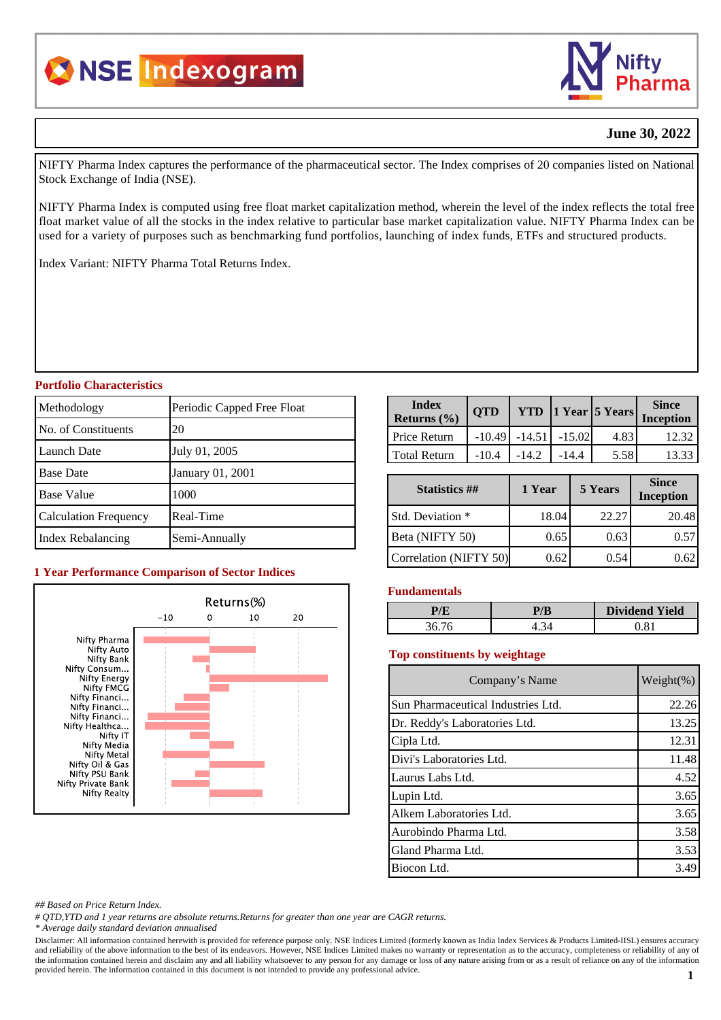

# **June 30, 2022**

NIFTY Pharma Index captures the performance of the pharmaceutical sector. The Index comprises of 20 companies listed on National Stock Exchange of India (NSE).

NIFTY Pharma Index is computed using free float market capitalization method, wherein the level of the index reflects the total free float market value of all the stocks in the index relative to particular base market capitalization value. NIFTY Pharma Index can be used for a variety of purposes such as benchmarking fund portfolios, launching of index funds, ETFs and structured products.

Index Variant: NIFTY Pharma Total Returns Index.

#### **Portfolio Characteristics**

| Methodology                  | Periodic Capped Free Float |
|------------------------------|----------------------------|
| No. of Constituents          | 20                         |
| Launch Date                  | July 01, 2005              |
| <b>Base Date</b>             | January 01, 2001           |
| <b>Base Value</b>            | 1000                       |
| <b>Calculation Frequency</b> | Real-Time                  |
| Index Rebalancing            | Semi-Annually              |

## **1 Year Performance Comparison of Sector Indices**



| <b>Index</b><br>Returns $(\% )$ | <b>OTD</b> |          |          | <b>YTD</b>  1 Year  5 Years | <b>Since</b><br><b>Inception</b> |
|---------------------------------|------------|----------|----------|-----------------------------|----------------------------------|
| Price Return                    | $-10.49$   | $-14.51$ | $-15.02$ | 4.83                        | 12.32                            |
| <b>Total Return</b>             | $-10.4$    | $-14.2$  | $-14.4$  | 5.58                        | 13.33                            |

| <b>Statistics</b> ##   | 1 Year | 5 Years | <b>Since</b><br><b>Inception</b> |
|------------------------|--------|---------|----------------------------------|
| Std. Deviation *       | 18.04  | 22.27   | 20.48                            |
| Beta (NIFTY 50)        | 0.65   | 0.63    | 0.57                             |
| Correlation (NIFTY 50) | 0.62   | 0.54    | 0.62                             |

### **Fundamentals**

|  | <b>Dividend Yield</b> |
|--|-----------------------|
|  |                       |

#### **Top constituents by weightage**

| Company's Name                     | Weight $(\%)$ |
|------------------------------------|---------------|
| Sun Pharmaceutical Industries Ltd. | 22.26         |
| Dr. Reddy's Laboratories Ltd.      | 13.25         |
| Cipla Ltd.                         | 12.31         |
| Divi's Laboratories Ltd.           | 11.48         |
| Laurus Labs Ltd.                   | 4.52          |
| Lupin Ltd.                         | 3.65          |
| Alkem Laboratories Ltd.            | 3.65          |
| Aurobindo Pharma Ltd.              | 3.58          |
| Gland Pharma Ltd.                  | 3.53          |
| Biocon Ltd.                        | 3.49          |

*## Based on Price Return Index.*

*# QTD,YTD and 1 year returns are absolute returns.Returns for greater than one year are CAGR returns.*

*\* Average daily standard deviation annualised*

Disclaimer: All information contained herewith is provided for reference purpose only. NSE Indices Limited (formerly known as India Index Services & Products Limited-IISL) ensures accuracy and reliability of the above information to the best of its endeavors. However, NSE Indices Limited makes no warranty or representation as to the accuracy, completeness or reliability of any of the information contained herein and disclaim any and all liability whatsoever to any person for any damage or loss of any nature arising from or as a result of reliance on any of the information provided herein. The information contained in this document is not intended to provide any professional advice.